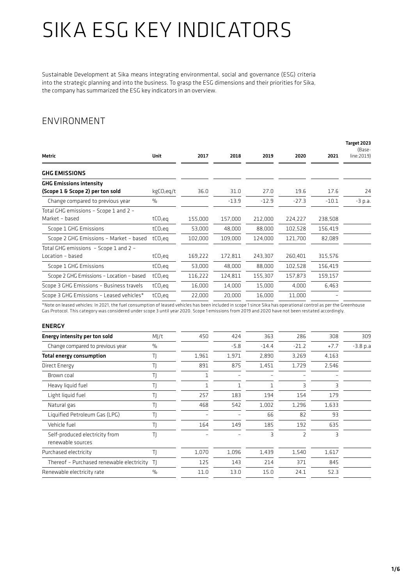Sustainable Development at Sika means integrating environmental, social and governance (ESG) criteria into the strategic planning and into the business. To grasp the ESG dimensions and their priorities for Sika, the company has summarized the ESG key indicators in an overview.

#### ENVIRONMENT

|                                          |                        | 2017    | 2018    |         |         |         | Target 2023<br>(Base- |
|------------------------------------------|------------------------|---------|---------|---------|---------|---------|-----------------------|
| Metric                                   | Unit                   |         |         | 2019    | 2020    | 2021    | line:2019)            |
| <b>GHG EMISSIONS</b>                     |                        |         |         |         |         |         |                       |
| <b>GHG Emissions intensity</b>           |                        |         |         |         |         |         |                       |
| (Scope 1 & Scope 2) per ton sold         | kgCO <sub>2</sub> eq/t | 36.0    | 31.0    | 27.0    | 19.6    | 17.6    | 24                    |
| Change compared to previous year         | $\frac{0}{0}$          |         | $-13.9$ | $-12.9$ | $-27.3$ | $-10.1$ | $-3$ p.a.             |
| Total GHG emissions - Scope 1 and 2 -    |                        |         |         |         |         |         |                       |
| Market - based                           | $tCO2$ eq              | 155,000 | 157,000 | 212,000 | 224,227 | 238,508 |                       |
| Scope 1 GHG Emissions                    | $tCO2$ eq              | 53,000  | 48,000  | 88,000  | 102,528 | 156,419 |                       |
| Scope 2 GHG Emissions - Market - based   | $tCO2$ eg              | 102,000 | 109,000 | 124,000 | 121,700 | 82,089  |                       |
| Total GHG emissions - Scope 1 and 2 -    |                        |         |         |         |         |         |                       |
| Location - based                         | $tCO2$ eq              | 169,222 | 172,811 | 243,307 | 260,401 | 315,576 |                       |
| Scope 1 GHG Emissions                    | $tCO2$ eq              | 53,000  | 48,000  | 88,000  | 102,528 | 156,419 |                       |
| Scope 2 GHG Emissions - Location - based | $tCO2$ eq              | 116,222 | 124,811 | 155,307 | 157,873 | 159,157 |                       |
| Scope 3 GHG Emissions - Business travels | $tCO2$ eq              | 16,000  | 14,000  | 15,000  | 4,000   | 6,463   |                       |
| Scope 3 GHG Emissions - Leased vehicles* | $tCO2$ eq              | 22,000  | 20,000  | 16,000  | 11,000  |         |                       |

\*Note on leased vehicles: In 2021, the fuel consumption of leased vehicles has been included in scope 1 since Sika has operational control as per the Greenhouse Gas Protocol. This category was considered under scope 3 until year 2020. Scope 1 emissions from 2019 and 2020 have not been restated accordingly.

#### ENERGY

| <b>Energy intensity per ton sold</b>                | MJ/t          | 450   | 424    | 363     | 286                      | 308    | 309        |
|-----------------------------------------------------|---------------|-------|--------|---------|--------------------------|--------|------------|
| Change compared to previous year                    | $\frac{0}{0}$ |       | $-5.8$ | $-14.4$ | $-21.2$                  | $+7.7$ | $-3.8 p.a$ |
| <b>Total energy consumption</b>                     | TJ            | 1,961 | 1,971  | 2,890   | 3,269                    | 4,163  |            |
| Direct Energy                                       | TJ            | 891   | 875    | 1,451   | 1,729                    | 2,546  |            |
| Brown coal                                          | TJ            |       |        |         |                          |        |            |
| Heavy liquid fuel                                   | TJ            |       |        | 1       | 3                        | 3      |            |
| Light liquid fuel                                   | TJ            | 257   | 183    | 194     | 154                      | 179    |            |
| Natural gas                                         | ΤJ            | 468   | 542    | 1,002   | 1,296                    | 1,633  |            |
| Liquified Petroleum Gas (LPG)                       | ΤJ            |       |        | 66      | 82                       | 93     |            |
| Vehicle fuel                                        | ΤI            | 164   | 149    | 185     | 192                      | 635    |            |
| Self-produced electricity from<br>renewable sources | ΤI            |       |        | 3       | $\overline{\phantom{0}}$ | 3      |            |
| Purchased electricity                               | ΤI            | 1,070 | 1,096  | 1,439   | 1,540                    | 1,617  |            |
| Thereof - Purchased renewable electricity TJ        |               | 125   | 143    | 214     | 371                      | 845    |            |
| Renewable electricity rate                          | $\%$          | 11.0  | 13.0   | 15.0    | 24.1                     | 52.3   |            |
|                                                     |               |       |        |         |                          |        |            |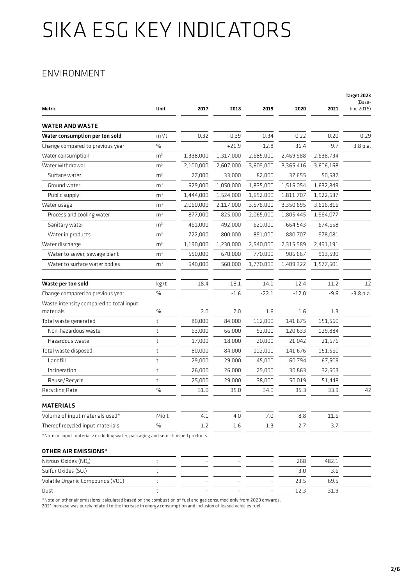### ENVIRONMENT

| Metric                                                                           | Unit           | 2017      | 2018      | 2019      | 2020      | 2021      | Target 2023<br>(Base-<br>line:2019) |
|----------------------------------------------------------------------------------|----------------|-----------|-----------|-----------|-----------|-----------|-------------------------------------|
| WATER AND WASTE                                                                  |                |           |           |           |           |           |                                     |
| Water consumption per ton sold                                                   | $m^3/t$        | 0.32      | 0.39      | 0.34      | 0.22      | 0.20      | 0.29                                |
| Change compared to previous year                                                 | $\%$           |           | $+21.9$   | $-12.8$   | $-36.4$   | $-9.7$    | $-3.8$ p.a.                         |
| Water consumption                                                                | m <sup>3</sup> | 1,338,000 | 1,317,000 | 2,685,000 | 2,469,988 | 2,638,734 |                                     |
| Water withdrawal                                                                 | m <sup>3</sup> | 2,100,000 | 2,607,000 | 3,609,000 | 3,365,416 | 3,606,168 |                                     |
| Surface water                                                                    | m <sup>3</sup> | 27,000    | 33,000    | 82,000    | 37,655    | 50,682    |                                     |
| Ground water                                                                     | m <sup>3</sup> | 629,000   | 1,050,000 | 1,835,000 | 1,516,054 | 1,632,849 |                                     |
| Public supply                                                                    | m <sup>3</sup> | 1,444,000 | 1,524,000 | 1,692,000 | 1,811,707 | 1,922,637 |                                     |
| Water usage                                                                      | m <sup>3</sup> | 2,060,000 | 2,117,000 | 3,576,000 | 3,350,695 | 3,616,816 |                                     |
| Process and cooling water                                                        | m <sup>3</sup> | 877,000   | 825,000   | 2,065,000 | 1,805,445 | 1,964,077 |                                     |
| Sanitary water                                                                   | m <sup>3</sup> | 461,000   | 492,000   | 620,000   | 664,543   | 674,658   |                                     |
| Water in products                                                                | m <sup>3</sup> | 722,000   | 800,000   | 891,000   | 880,707   | 978,081   |                                     |
| Water discharge                                                                  | m <sup>3</sup> | 1,190,000 | 1,230,000 | 2,540,000 | 2,315,989 | 2,491,191 |                                     |
| Water to sewer, sewage plant                                                     | m <sup>3</sup> | 550,000   | 670,000   | 770,000   | 906,667   | 913,590   |                                     |
| Water to surface water bodies                                                    | m <sup>3</sup> | 640,000   | 560,000   | 1,770,000 | 1,409,322 | 1,577,601 |                                     |
| Waste per ton sold                                                               | kg/t           | 18.4      | 18.1      | 14.1      | 12.4      | 11.2      | 12                                  |
| Change compared to previous year                                                 | $\frac{0}{0}$  |           | $-1.6$    | $-22.1$   | $-12.0$   | $-9.6$    | $-3.8$ p.a.                         |
| Waste intensity compared to total input<br>materials                             | $\frac{0}{0}$  | 2.0       | 2.0       | 1.6       | 1.6       | 1.3       |                                     |
| Total waste generated                                                            | t              | 80,000    | 84,000    | 112,000   | 141,675   | 151,560   |                                     |
| Non-hazardous waste                                                              | t              | 63,000    | 66,000    | 92,000    | 120,633   | 129,884   |                                     |
| Hazardous waste                                                                  | t              | 17,000    | 18,000    | 20,000    | 21,042    | 21,676    |                                     |
| Total waste disposed                                                             | $^\mathrm{t}$  | 80,000    | 84,000    | 112,000   | 141,676   | 151,560   |                                     |
| Landfill                                                                         | t              | 29,000    | 29,000    | 45,000    | 60,794    | 67,509    |                                     |
| Incineration                                                                     | t              | 26,000    | 26,000    | 29,000    | 30,863    | 32,603    |                                     |
| Reuse/Recycle                                                                    | t              | 25,000    | 29,000    | 38,000    | 50,019    | 51,448    |                                     |
| Recycling Rate                                                                   | $\frac{0}{0}$  | 31.0      | 35.0      | 34.0      | 35.3      | 33.9      | 42                                  |
| <b>MATERIALS</b>                                                                 |                |           |           |           |           |           |                                     |
| Volume of input materials used*                                                  | Mio t          | 4.1       | 4.0       | 7.0       | 8.8       | 11.6      |                                     |
| Thereof recycled input materials                                                 | $\frac{0}{0}$  | 1.2       | 1.6       | 1.3       | 2.7       | 3.7       |                                     |
| *Note on input materials: excluding water, packaging and semi-finished products. |                |           |           |           |           |           |                                     |
| OTHER AIR EMISSIONS*                                                             |                |           |           |           |           |           |                                     |
| Nitrous Oxides (NO <sub>x</sub> )                                                | t              |           |           |           | 268       | 482.1     |                                     |
| Sulfur Oxides (SO <sub>x</sub> )                                                 | $^\mathrm{t}$  |           |           |           | 3.0       | 3.6       |                                     |

\*Note on other air emissions: calculated based on the combustion of fuel and gas consumed only from 2020 onwards.

Volatile Organic Compounds (VOC) t – – – – – – – 23.5 69.5 Dust t – – – 12.3 31.9

2021 increase was purely related to the increase in energy consumption and inclusion of leased vehicles fuel.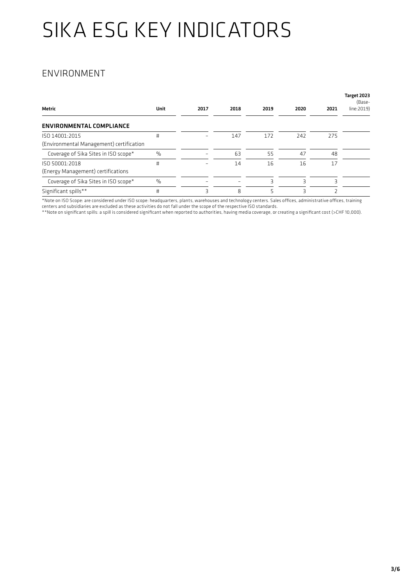### ENVIRONMENT

| Metric                                                     | Unit | 2017 | 2018 | 2019 | 2020 | 2021 | Target 2023<br>(Base-<br>line:2019) |
|------------------------------------------------------------|------|------|------|------|------|------|-------------------------------------|
| ENVIRONMENTAL COMPLIANCE                                   |      |      |      |      |      |      |                                     |
| ISO 14001:2015<br>(Environmental Management) certification | #    |      | 147  | 172  | 242  | 275  |                                     |
| Coverage of Sika Sites in ISO scope*                       | $\%$ |      | 63   | 55   | 47   | 48   |                                     |
| ISO 50001:2018<br>(Energy Management) certifications       | #    |      | 14   | 16   | 16   | 17   |                                     |
| Coverage of Sika Sites in ISO scope*                       | $\%$ |      | -    | 3    |      | 3    |                                     |
| Significant spills**                                       | #    | 3    | 8    | 5    | 3    |      |                                     |

\*Note on ISO Scope: are considered under ISO scope: headquarters, plants, warehouses and technology centers. Sales offices, administrative offices, training centers and subsidiaries are excluded as these activities do not fall under the scope of the respective ISO standards.

\*\*Note on significant spills: a spill is considered significant when reported to authorities, having media coverage, or creating a significant cost (>CHF 10,000).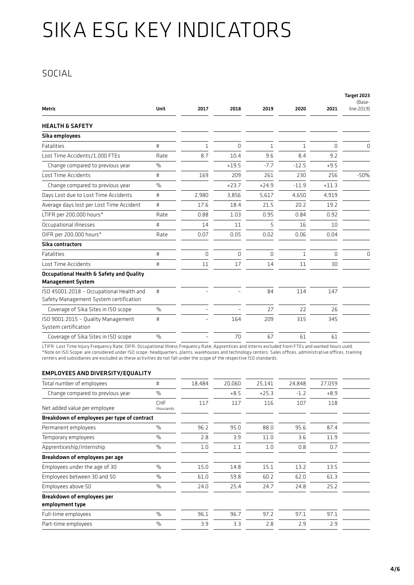### SOCIAL

|                                                                                    |               |              |          |             |              |          | Target 2023<br>(Base- |
|------------------------------------------------------------------------------------|---------------|--------------|----------|-------------|--------------|----------|-----------------------|
| Metric                                                                             | Unit          | 2017         | 2018     | 2019        | 2020         | 2021     | line:2019)            |
| <b>HEALTH &amp; SAFETY</b>                                                         |               |              |          |             |              |          |                       |
| Sika employees                                                                     |               |              |          |             |              |          |                       |
| <b>Fatalities</b>                                                                  | $\sharp$      | $\mathbf{1}$ | 0        | $\mathbf 1$ | $\mathbf{1}$ | 0        | 0                     |
| Lost Time Accidents/1,000 FTEs                                                     | Rate          | 8.7          | 10.4     | 9.6         | 8.4          | 9.2      |                       |
| Change compared to previous year                                                   | $\%$          |              | $+19.5$  | $-7.7$      | $-12.5$      | $+9.5$   |                       |
| Lost Time Accidents                                                                | #             | 169          | 209      | 261         | 230          | 256      | $-50%$                |
| Change compared to previous year                                                   | $\frac{0}{0}$ |              | $+23.7$  | $+24.9$     | $-11.9$      | $+11.3$  |                       |
| Days Lost due to Lost Time Accidents                                               | #             | 2,980        | 3,856    | 5,617       | 4,650        | 4,919    |                       |
| Average days lost per Lost Time Accident                                           | #             | 17.6         | 18.4     | 21.5        | 20.2         | 19.2     |                       |
| LTIFR per 200,000 hours*                                                           | Rate          | 0.88         | 1.03     | 0.95        | 0.84         | 0.92     |                       |
| Occupational illnesses                                                             | #             | 14           | 11       | 5           | 16           | 10       |                       |
| OIFR per 200,000 hours*                                                            | Rate          | 0.07         | 0.05     | 0.02        | 0.06         | 0.04     |                       |
| Sika contractors                                                                   |               |              |          |             |              |          |                       |
| <b>Fatalities</b>                                                                  | #             | $\Omega$     | $\Omega$ | $\Omega$    | $\mathbf{1}$ | $\Omega$ | $\Omega$              |
| Lost Time Accidents                                                                | #             | 11           | 17       | 14          | 11           | 30       |                       |
| Occupational Health & Safety and Quality<br><b>Management System</b>               |               |              |          |             |              |          |                       |
| ISO 45001:2018 - Occupational Health and<br>Safety Management System certification | #             |              |          | 84          | 114          | 147      |                       |
| Coverage of Sika Sites in ISO scope                                                | $\frac{0}{0}$ |              |          | 27          | 22           | 26       |                       |
| ISO 9001:2015 - Quality Management<br>System certification                         | #             |              | 164      | 209         | 315          | 345      |                       |
| Coverage of Sika Sites in ISO scope                                                | $\frac{0}{0}$ |              | 70       | 67          | 61           | 61       |                       |

LTIFR: Lost Time Injury Frequency Rate; OIFR: Occupational Illness Frequency Rate; Apprentices and interns excluded from FTEs and worked hours used. \*Note on ISO Scope: are considered under ISO scope: headquarters, plants, warehouses and technology centers. Sales offices, administrative offices, training centers and subsidiaries are excluded as these activities do not fall under the scope of the respective ISO standards.

#### EMPLOYEES AND DIVERSITY/EQUALITY

| Total number of employees                   | $\sharp$                | 18,484 | 20,060 | 25,141  | 24,848 | 27,059 |  |
|---------------------------------------------|-------------------------|--------|--------|---------|--------|--------|--|
| Change compared to previous year            | $\frac{0}{0}$           |        | $+8.5$ | $+25.3$ | $-1.2$ | $+8.9$ |  |
| Net added value per employee                | <b>CHF</b><br>thousands | 117    | 117    | 116     | 107    | 118    |  |
| Breakdown of employees per type of contract |                         |        |        |         |        |        |  |
| Permanent employees                         | $\frac{0}{0}$           | 96.2   | 95.0   | 88.0    | 95.6   | 87.4   |  |
| Temporary employees                         | $\%$                    | 2.8    | 3.9    | 11.0    | 3.6    | 11.9   |  |
| Apprenticeship/internship                   | $\frac{0}{0}$           | 1.0    | 1.1    | 1.0     | 0.8    | 0.7    |  |
| Breakdown of employees per age              |                         |        |        |         |        |        |  |
| Employees under the age of 30               | $\frac{0}{0}$           | 15.0   | 14.8   | 15.1    | 13.2   | 13.5   |  |
| Employees between 30 and 50                 | $\frac{0}{0}$           | 61.0   | 59.8   | 60.2    | 62.0   | 61.3   |  |
| Employees above 50                          | $\frac{0}{0}$           | 24.0   | 25.4   | 24.7    | 24.8   | 25.2   |  |
| <b>Breakdown of employees per</b>           |                         |        |        |         |        |        |  |
| employment type                             |                         |        |        |         |        |        |  |
| Full-time employees                         | $\frac{0}{0}$           | 96.1   | 96.7   | 97.2    | 97.1   | 97.1   |  |
| Part-time employees                         | $\frac{0}{0}$           | 3.9    | 3.3    | 2.8     | 2.9    | 2.9    |  |
|                                             |                         |        |        |         |        |        |  |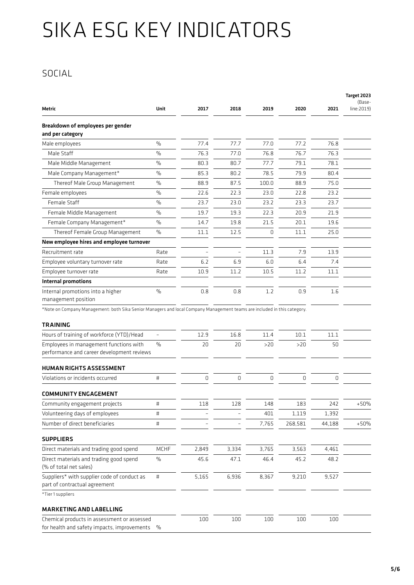### SOCIAL

|                                                                                                                          |                          |       |       |       |         |        | Target 2023<br>(Base- |
|--------------------------------------------------------------------------------------------------------------------------|--------------------------|-------|-------|-------|---------|--------|-----------------------|
| Metric                                                                                                                   | Unit                     | 2017  | 2018  | 2019  | 2020    | 2021   | line:2019)            |
| Breakdown of employees per gender<br>and per category                                                                    |                          |       |       |       |         |        |                       |
| Male employees                                                                                                           | $\frac{0}{0}$            | 77.4  | 77.7  | 77.0  | 77.2    | 76.8   |                       |
| Male Staff                                                                                                               | $\frac{0}{0}$            | 76.3  | 77.0  | 76.8  | 76.7    | 76.3   |                       |
| Male Middle Management                                                                                                   | $\%$                     | 80.3  | 80.7  | 77.7  | 79.1    | 78.1   |                       |
| Male Company Management*                                                                                                 | $\frac{0}{0}$            | 85.3  | 80.2  | 78.5  | 79.9    | 80.4   |                       |
| Thereof Male Group Management                                                                                            | $\frac{0}{0}$            | 88.9  | 87.5  | 100.0 | 88.9    | 75.0   |                       |
| Female employees                                                                                                         | %                        | 22.6  | 22.3  | 23.0  | 22.8    | 23.2   |                       |
| Female Staff                                                                                                             | $\frac{0}{0}$            | 23.7  | 23.0  | 23.2  | 23.3    | 23.7   |                       |
| Female Middle Management                                                                                                 | $\%$                     | 19.7  | 19.3  | 22.3  | 20.9    | 21.9   |                       |
| Female Company Management*                                                                                               | $\%$                     | 14.7  | 19.8  | 21.5  | 20.1    | 19.6   |                       |
| Thereof Female Group Management                                                                                          | $\%$                     | 11.1  | 12.5  | 0     | 11.1    | 25.0   |                       |
| New employee hires and employee turnover                                                                                 |                          |       |       |       |         |        |                       |
| Recruitment rate                                                                                                         | Rate                     |       |       | 11.3  | 7.9     | 13.9   |                       |
| Employee voluntary turnover rate                                                                                         | Rate                     | 6.2   | 6.9   | 6.0   | 6.4     | 7.4    |                       |
| Employee turnover rate                                                                                                   | Rate                     | 10.9  | 11.2  | 10.5  | 11.2    | 11.1   |                       |
| Internal promotions                                                                                                      |                          |       |       |       |         |        |                       |
| Internal promotions into a higher<br>management position                                                                 | $\frac{0}{0}$            | 0.8   | 0.8   | 1.2   | 0.9     | 1.6    |                       |
| *Note on Company Management: both Sika Senior Managers and local Company Management teams are included in this category. |                          |       |       |       |         |        |                       |
| TRAINING                                                                                                                 |                          |       |       |       |         |        |                       |
| Hours of training of workforce (YTD)/Head                                                                                | $\overline{\phantom{0}}$ | 12.9  | 16.8  | 11.4  | 10.1    | 11.1   |                       |
| Employees in management functions with                                                                                   | $\frac{0}{0}$            | 20    | 20    | >20   | >20     | 50     |                       |
| performance and career development reviews                                                                               |                          |       |       |       |         |        |                       |
| <b>HUMAN RIGHTS ASSESSMENT</b>                                                                                           |                          |       |       |       |         |        |                       |
| Violations or incidents occurred                                                                                         | #                        | 0     | 0     | 0     | 0       | 0      |                       |
| COMMUNITY ENGAGEMENT                                                                                                     |                          |       |       |       |         |        |                       |
| Community engagement projects                                                                                            | #                        | 118   | 128   | 148   | 183     | 242    | $+50%$                |
| Volunteering days of employees                                                                                           | $\sharp$                 |       |       | 401   | 1,119   | 1,392  |                       |
| Number of direct beneficiaries                                                                                           | $\sharp$                 |       |       | 7,765 | 268,581 | 44,188 | $+50%$                |
| <b>SUPPLIERS</b>                                                                                                         |                          |       |       |       |         |        |                       |
| Direct materials and trading good spend                                                                                  | MCHF                     | 2,849 | 3,334 | 3,765 | 3,563   | 4,461  |                       |
| Direct materials and trading good spend<br>(% of total net sales)                                                        | $\%$                     | 45.6  | 47.1  | 46.4  | 45.2    | 48.2   |                       |
| Suppliers* with supplier code of conduct as<br>part of contractual agreement                                             | $\sharp$                 | 5,165 | 6,936 | 8,367 | 9,210   | 9,527  |                       |
| *Tier 1 suppliers                                                                                                        |                          |       |       |       |         |        |                       |
| MARKETING AND LABELLING                                                                                                  |                          |       |       |       |         |        |                       |
| Chemical products in assessment or assessed<br>for health and safety impacts, improvements                               | $\%$                     | 100   | 100   | 100   | 100     | 100    |                       |
|                                                                                                                          |                          |       |       |       |         |        |                       |